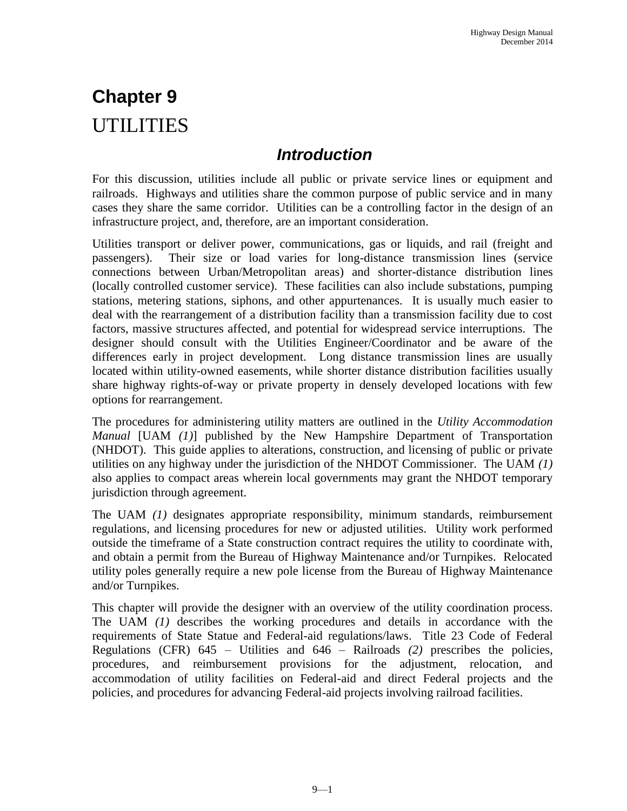# **Chapter 9**  UTILITIES

## *Introduction*

For this discussion, utilities include all public or private service lines or equipment and railroads. Highways and utilities share the common purpose of public service and in many cases they share the same corridor. Utilities can be a controlling factor in the design of an infrastructure project, and, therefore, are an important consideration.

Utilities transport or deliver power, communications, gas or liquids, and rail (freight and passengers). Their size or load varies for long-distance transmission lines (service connections between Urban/Metropolitan areas) and shorter-distance distribution lines (locally controlled customer service). These facilities can also include substations, pumping stations, metering stations, siphons, and other appurtenances. It is usually much easier to deal with the rearrangement of a distribution facility than a transmission facility due to cost factors, massive structures affected, and potential for widespread service interruptions. The designer should consult with the Utilities Engineer/Coordinator and be aware of the differences early in project development. Long distance transmission lines are usually located within utility-owned easements, while shorter distance distribution facilities usually share highway rights-of-way or private property in densely developed locations with few options for rearrangement.

The procedures for administering utility matters are outlined in the *Utility Accommodation Manual* [UAM *(1)*] published by the New Hampshire Department of Transportation (NHDOT). This guide applies to alterations, construction, and licensing of public or private utilities on any highway under the jurisdiction of the NHDOT Commissioner. The UAM *(1)* also applies to compact areas wherein local governments may grant the NHDOT temporary jurisdiction through agreement.

The UAM *(1)* designates appropriate responsibility, minimum standards, reimbursement regulations, and licensing procedures for new or adjusted utilities. Utility work performed outside the timeframe of a State construction contract requires the utility to coordinate with, and obtain a permit from the Bureau of Highway Maintenance and/or Turnpikes. Relocated utility poles generally require a new pole license from the Bureau of Highway Maintenance and/or Turnpikes.

This chapter will provide the designer with an overview of the utility coordination process. The UAM *(1)* describes the working procedures and details in accordance with the requirements of State Statue and Federal-aid regulations/laws. Title 23 Code of Federal Regulations (CFR) 645 – Utilities and 646 – Railroads *(2)* prescribes the policies, procedures, and reimbursement provisions for the adjustment, relocation, and accommodation of utility facilities on Federal-aid and direct Federal projects and the policies, and procedures for advancing Federal-aid projects involving railroad facilities.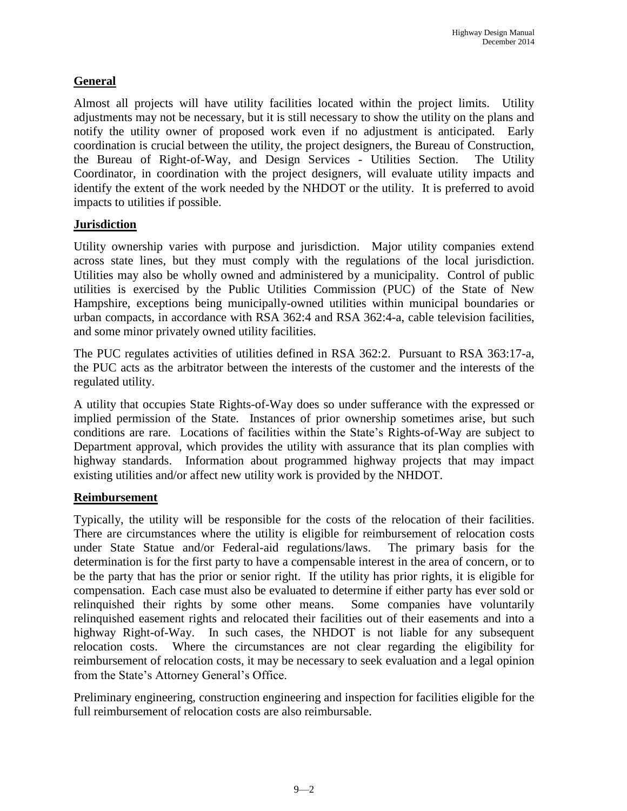#### **General**

Almost all projects will have utility facilities located within the project limits. Utility adjustments may not be necessary, but it is still necessary to show the utility on the plans and notify the utility owner of proposed work even if no adjustment is anticipated. Early coordination is crucial between the utility, the project designers, the Bureau of Construction, the Bureau of Right-of-Way, and Design Services - Utilities Section. The Utility Coordinator, in coordination with the project designers, will evaluate utility impacts and identify the extent of the work needed by the NHDOT or the utility. It is preferred to avoid impacts to utilities if possible.

#### **Jurisdiction**

Utility ownership varies with purpose and jurisdiction. Major utility companies extend across state lines, but they must comply with the regulations of the local jurisdiction. Utilities may also be wholly owned and administered by a municipality. Control of public utilities is exercised by the Public Utilities Commission (PUC) of the State of New Hampshire, exceptions being municipally-owned utilities within municipal boundaries or urban compacts, in accordance with RSA 362:4 and RSA 362:4-a, cable television facilities, and some minor privately owned utility facilities.

The PUC regulates activities of utilities defined in RSA 362:2. Pursuant to RSA 363:17-a, the PUC acts as the arbitrator between the interests of the customer and the interests of the regulated utility.

A utility that occupies State Rights-of-Way does so under sufferance with the expressed or implied permission of the State. Instances of prior ownership sometimes arise, but such conditions are rare. Locations of facilities within the State's Rights-of-Way are subject to Department approval, which provides the utility with assurance that its plan complies with highway standards. Information about programmed highway projects that may impact existing utilities and/or affect new utility work is provided by the NHDOT.

#### **Reimbursement**

Typically, the utility will be responsible for the costs of the relocation of their facilities. There are circumstances where the utility is eligible for reimbursement of relocation costs under State Statue and/or Federal-aid regulations/laws. The primary basis for the determination is for the first party to have a compensable interest in the area of concern, or to be the party that has the prior or senior right. If the utility has prior rights, it is eligible for compensation. Each case must also be evaluated to determine if either party has ever sold or relinquished their rights by some other means. Some companies have voluntarily relinquished easement rights and relocated their facilities out of their easements and into a highway Right-of-Way. In such cases, the NHDOT is not liable for any subsequent relocation costs. Where the circumstances are not clear regarding the eligibility for reimbursement of relocation costs, it may be necessary to seek evaluation and a legal opinion from the State's Attorney General's Office.

Preliminary engineering, construction engineering and inspection for facilities eligible for the full reimbursement of relocation costs are also reimbursable.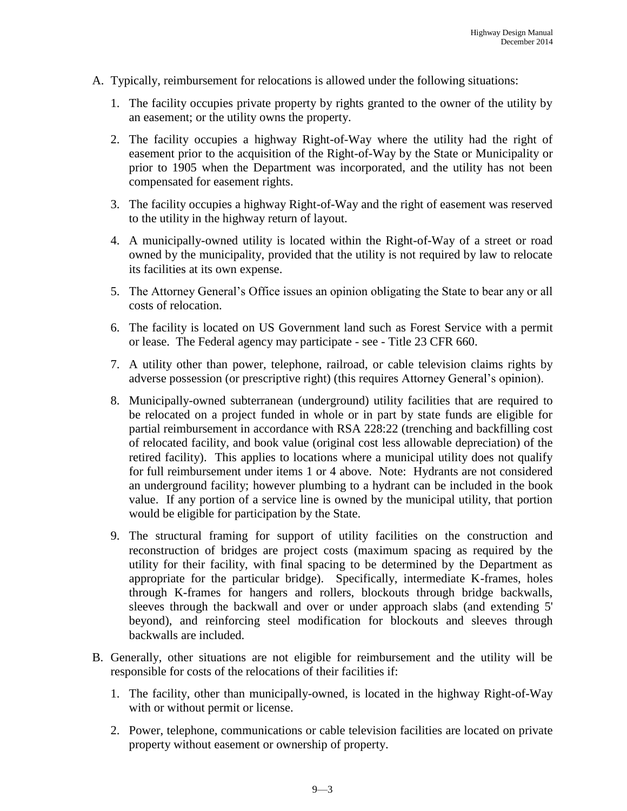- A. Typically, reimbursement for relocations is allowed under the following situations:
	- 1. The facility occupies private property by rights granted to the owner of the utility by an easement; or the utility owns the property.
	- 2. The facility occupies a highway Right-of-Way where the utility had the right of easement prior to the acquisition of the Right-of-Way by the State or Municipality or prior to 1905 when the Department was incorporated, and the utility has not been compensated for easement rights.
	- 3. The facility occupies a highway Right-of-Way and the right of easement was reserved to the utility in the highway return of layout.
	- 4. A municipally-owned utility is located within the Right-of-Way of a street or road owned by the municipality, provided that the utility is not required by law to relocate its facilities at its own expense.
	- 5. The Attorney General's Office issues an opinion obligating the State to bear any or all costs of relocation.
	- 6. The facility is located on US Government land such as Forest Service with a permit or lease. The Federal agency may participate - see - Title 23 CFR 660.
	- 7. A utility other than power, telephone, railroad, or cable television claims rights by adverse possession (or prescriptive right) (this requires Attorney General's opinion).
	- 8. Municipally-owned subterranean (underground) utility facilities that are required to be relocated on a project funded in whole or in part by state funds are eligible for partial reimbursement in accordance with RSA 228:22 (trenching and backfilling cost of relocated facility, and book value (original cost less allowable depreciation) of the retired facility). This applies to locations where a municipal utility does not qualify for full reimbursement under items 1 or 4 above. Note: Hydrants are not considered an underground facility; however plumbing to a hydrant can be included in the book value. If any portion of a service line is owned by the municipal utility, that portion would be eligible for participation by the State.
	- 9. The structural framing for support of utility facilities on the construction and reconstruction of bridges are project costs (maximum spacing as required by the utility for their facility, with final spacing to be determined by the Department as appropriate for the particular bridge). Specifically, intermediate K-frames, holes through K-frames for hangers and rollers, blockouts through bridge backwalls, sleeves through the backwall and over or under approach slabs (and extending 5' beyond), and reinforcing steel modification for blockouts and sleeves through backwalls are included.
- B. Generally, other situations are not eligible for reimbursement and the utility will be responsible for costs of the relocations of their facilities if:
	- 1. The facility, other than municipally-owned, is located in the highway Right-of-Way with or without permit or license.
	- 2. Power, telephone, communications or cable television facilities are located on private property without easement or ownership of property.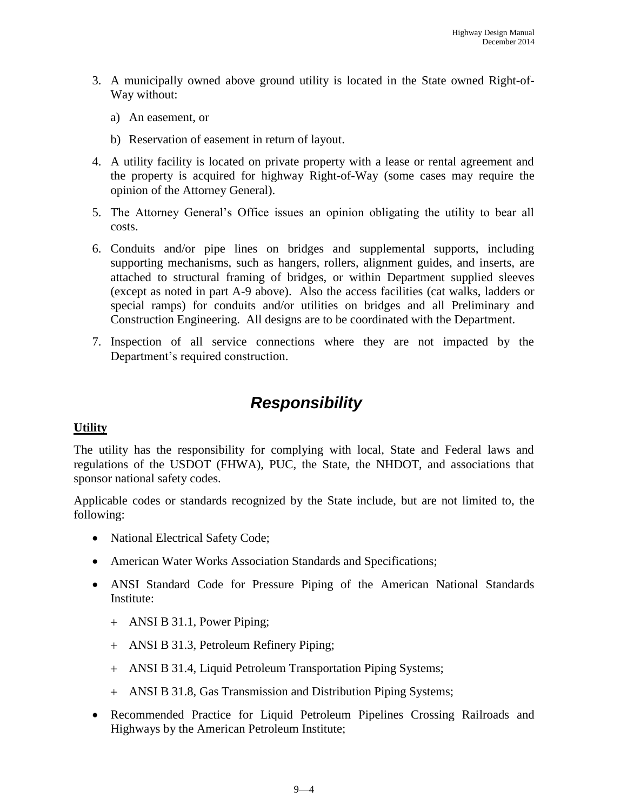- 3. A municipally owned above ground utility is located in the State owned Right-of-Way without:
	- a) An easement, or
	- b) Reservation of easement in return of layout.
- 4. A utility facility is located on private property with a lease or rental agreement and the property is acquired for highway Right-of-Way (some cases may require the opinion of the Attorney General).
- 5. The Attorney General's Office issues an opinion obligating the utility to bear all costs.
- 6. Conduits and/or pipe lines on bridges and supplemental supports, including supporting mechanisms, such as hangers, rollers, alignment guides, and inserts, are attached to structural framing of bridges, or within Department supplied sleeves (except as noted in part A-9 above). Also the access facilities (cat walks, ladders or special ramps) for conduits and/or utilities on bridges and all Preliminary and Construction Engineering. All designs are to be coordinated with the Department.
- 7. Inspection of all service connections where they are not impacted by the Department's required construction.

## *Responsibility*

#### **Utility**

The utility has the responsibility for complying with local, State and Federal laws and regulations of the USDOT (FHWA), PUC, the State, the NHDOT, and associations that sponsor national safety codes.

Applicable codes or standards recognized by the State include, but are not limited to, the following:

- National Electrical Safety Code;
- American Water Works Association Standards and Specifications;
- ANSI Standard Code for Pressure Piping of the American National Standards Institute:
	- ANSI B 31.1, Power Piping;
	- ANSI B 31.3, Petroleum Refinery Piping;
	- ANSI B 31.4, Liquid Petroleum Transportation Piping Systems;
	- ANSI B 31.8, Gas Transmission and Distribution Piping Systems;
- Recommended Practice for Liquid Petroleum Pipelines Crossing Railroads and Highways by the American Petroleum Institute;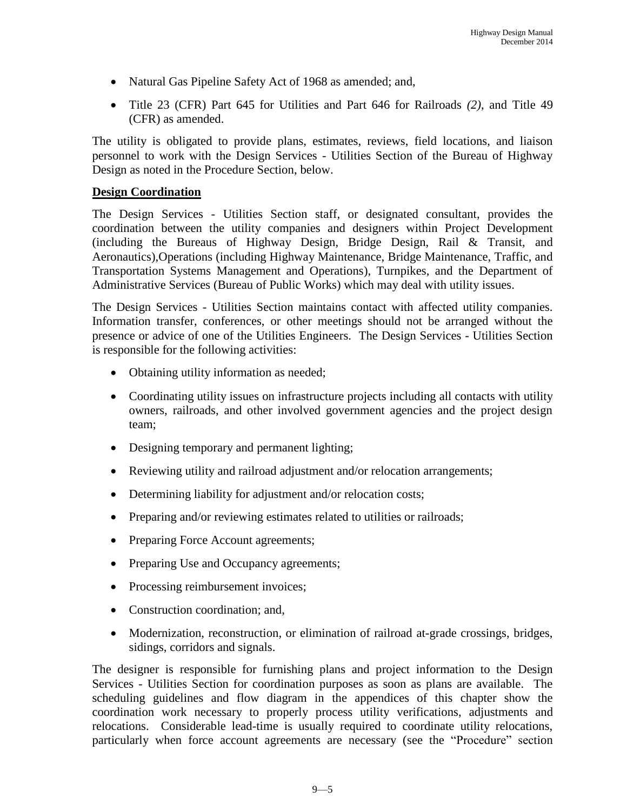- Natural Gas Pipeline Safety Act of 1968 as amended; and,
- Title 23 (CFR) Part 645 for Utilities and Part 646 for Railroads *(2)*, and Title 49 (CFR) as amended.

The utility is obligated to provide plans, estimates, reviews, field locations, and liaison personnel to work with the Design Services - Utilities Section of the Bureau of Highway Design as noted in the Procedure Section, below.

#### **Design Coordination**

The Design Services - Utilities Section staff, or designated consultant, provides the coordination between the utility companies and designers within Project Development (including the Bureaus of Highway Design, Bridge Design, Rail & Transit, and Aeronautics),Operations (including Highway Maintenance, Bridge Maintenance, Traffic, and Transportation Systems Management and Operations), Turnpikes, and the Department of Administrative Services (Bureau of Public Works) which may deal with utility issues.

The Design Services - Utilities Section maintains contact with affected utility companies. Information transfer, conferences, or other meetings should not be arranged without the presence or advice of one of the Utilities Engineers. The Design Services - Utilities Section is responsible for the following activities:

- Obtaining utility information as needed;
- Coordinating utility issues on infrastructure projects including all contacts with utility owners, railroads, and other involved government agencies and the project design team;
- Designing temporary and permanent lighting;
- Reviewing utility and railroad adjustment and/or relocation arrangements;
- Determining liability for adjustment and/or relocation costs;
- Preparing and/or reviewing estimates related to utilities or railroads;
- Preparing Force Account agreements;
- Preparing Use and Occupancy agreements;
- Processing reimbursement invoices;
- Construction coordination: and,
- Modernization, reconstruction, or elimination of railroad at-grade crossings, bridges, sidings, corridors and signals.

The designer is responsible for furnishing plans and project information to the Design Services - Utilities Section for coordination purposes as soon as plans are available. The scheduling guidelines and flow diagram in the appendices of this chapter show the coordination work necessary to properly process utility verifications, adjustments and relocations. Considerable lead-time is usually required to coordinate utility relocations, particularly when force account agreements are necessary (see the "Procedure" section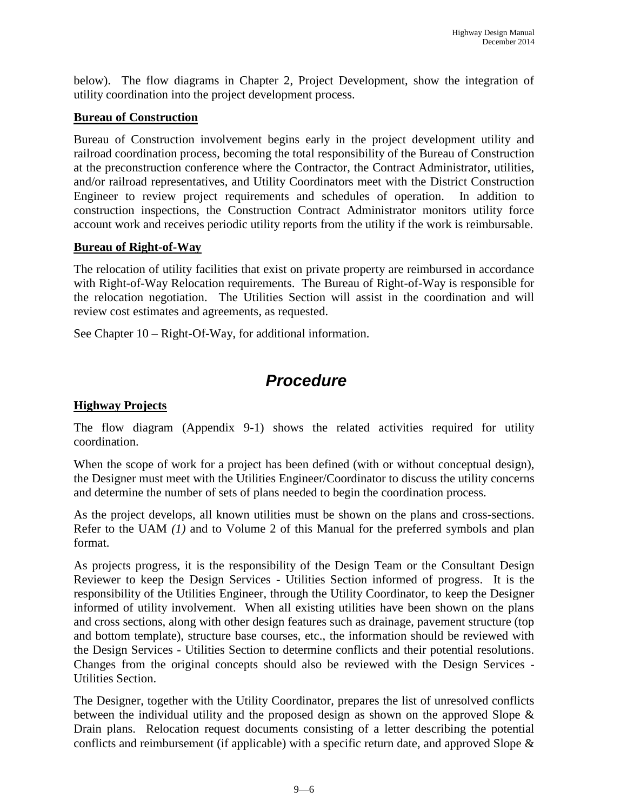below). The flow diagrams in Chapter 2, Project Development, show the integration of utility coordination into the project development process.

#### **Bureau of Construction**

Bureau of Construction involvement begins early in the project development utility and railroad coordination process, becoming the total responsibility of the Bureau of Construction at the preconstruction conference where the Contractor, the Contract Administrator, utilities, and/or railroad representatives, and Utility Coordinators meet with the District Construction Engineer to review project requirements and schedules of operation. In addition to construction inspections, the Construction Contract Administrator monitors utility force account work and receives periodic utility reports from the utility if the work is reimbursable.

#### **Bureau of Right-of-Way**

The relocation of utility facilities that exist on private property are reimbursed in accordance with Right-of-Way Relocation requirements. The Bureau of Right-of-Way is responsible for the relocation negotiation. The Utilities Section will assist in the coordination and will review cost estimates and agreements, as requested.

See Chapter 10 – Right-Of-Way, for additional information.

### *Procedure*

#### **Highway Projects**

The flow diagram (Appendix 9-1) shows the related activities required for utility coordination.

When the scope of work for a project has been defined (with or without conceptual design), the Designer must meet with the Utilities Engineer/Coordinator to discuss the utility concerns and determine the number of sets of plans needed to begin the coordination process.

As the project develops, all known utilities must be shown on the plans and cross-sections. Refer to the UAM *(1)* and to Volume 2 of this Manual for the preferred symbols and plan format.

As projects progress, it is the responsibility of the Design Team or the Consultant Design Reviewer to keep the Design Services - Utilities Section informed of progress. It is the responsibility of the Utilities Engineer, through the Utility Coordinator, to keep the Designer informed of utility involvement. When all existing utilities have been shown on the plans and cross sections, along with other design features such as drainage, pavement structure (top and bottom template), structure base courses, etc., the information should be reviewed with the Design Services - Utilities Section to determine conflicts and their potential resolutions. Changes from the original concepts should also be reviewed with the Design Services - Utilities Section.

The Designer, together with the Utility Coordinator, prepares the list of unresolved conflicts between the individual utility and the proposed design as shown on the approved Slope & Drain plans. Relocation request documents consisting of a letter describing the potential conflicts and reimbursement (if applicable) with a specific return date, and approved Slope &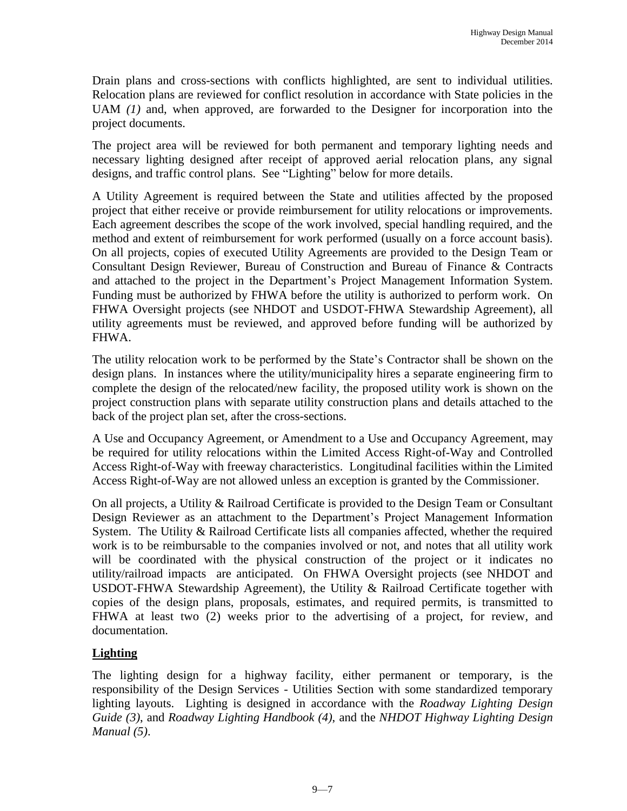Drain plans and cross-sections with conflicts highlighted, are sent to individual utilities. Relocation plans are reviewed for conflict resolution in accordance with State policies in the UAM *(1)* and, when approved, are forwarded to the Designer for incorporation into the project documents.

The project area will be reviewed for both permanent and temporary lighting needs and necessary lighting designed after receipt of approved aerial relocation plans, any signal designs, and traffic control plans. See "Lighting" below for more details.

A Utility Agreement is required between the State and utilities affected by the proposed project that either receive or provide reimbursement for utility relocations or improvements. Each agreement describes the scope of the work involved, special handling required, and the method and extent of reimbursement for work performed (usually on a force account basis). On all projects, copies of executed Utility Agreements are provided to the Design Team or Consultant Design Reviewer, Bureau of Construction and Bureau of Finance & Contracts and attached to the project in the Department's Project Management Information System. Funding must be authorized by FHWA before the utility is authorized to perform work. On FHWA Oversight projects (see NHDOT and USDOT-FHWA Stewardship Agreement), all utility agreements must be reviewed, and approved before funding will be authorized by FHWA.

The utility relocation work to be performed by the State's Contractor shall be shown on the design plans. In instances where the utility/municipality hires a separate engineering firm to complete the design of the relocated/new facility, the proposed utility work is shown on the project construction plans with separate utility construction plans and details attached to the back of the project plan set, after the cross-sections.

A Use and Occupancy Agreement, or Amendment to a Use and Occupancy Agreement, may be required for utility relocations within the Limited Access Right-of-Way and Controlled Access Right-of-Way with freeway characteristics. Longitudinal facilities within the Limited Access Right-of-Way are not allowed unless an exception is granted by the Commissioner.

On all projects, a Utility & Railroad Certificate is provided to the Design Team or Consultant Design Reviewer as an attachment to the Department's Project Management Information System. The Utility & Railroad Certificate lists all companies affected, whether the required work is to be reimbursable to the companies involved or not, and notes that all utility work will be coordinated with the physical construction of the project or it indicates no utility/railroad impacts are anticipated. On FHWA Oversight projects (see NHDOT and USDOT-FHWA Stewardship Agreement), the Utility & Railroad Certificate together with copies of the design plans, proposals, estimates, and required permits, is transmitted to FHWA at least two (2) weeks prior to the advertising of a project, for review, and documentation.

#### **Lighting**

The lighting design for a highway facility, either permanent or temporary, is the responsibility of the Design Services - Utilities Section with some standardized temporary lighting layouts. Lighting is designed in accordance with the *Roadway Lighting Design Guide (3)*, and *Roadway Lighting Handbook (4)*, and the *NHDOT Highway Lighting Design Manual (5)*.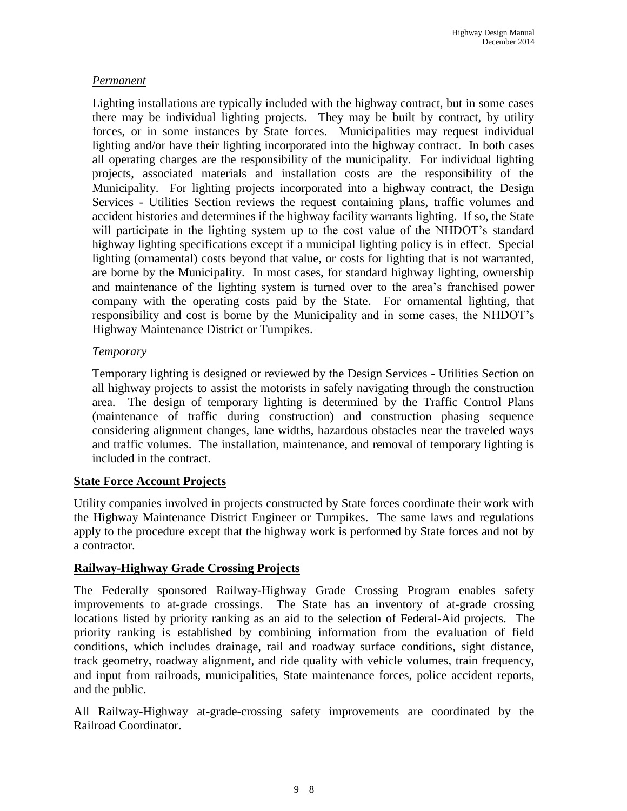#### *Permanent*

Lighting installations are typically included with the highway contract, but in some cases there may be individual lighting projects. They may be built by contract, by utility forces, or in some instances by State forces. Municipalities may request individual lighting and/or have their lighting incorporated into the highway contract. In both cases all operating charges are the responsibility of the municipality. For individual lighting projects, associated materials and installation costs are the responsibility of the Municipality. For lighting projects incorporated into a highway contract, the Design Services - Utilities Section reviews the request containing plans, traffic volumes and accident histories and determines if the highway facility warrants lighting. If so, the State will participate in the lighting system up to the cost value of the NHDOT's standard highway lighting specifications except if a municipal lighting policy is in effect. Special lighting (ornamental) costs beyond that value, or costs for lighting that is not warranted, are borne by the Municipality. In most cases, for standard highway lighting, ownership and maintenance of the lighting system is turned over to the area's franchised power company with the operating costs paid by the State. For ornamental lighting, that responsibility and cost is borne by the Municipality and in some cases, the NHDOT's Highway Maintenance District or Turnpikes.

#### *Temporary*

Temporary lighting is designed or reviewed by the Design Services - Utilities Section on all highway projects to assist the motorists in safely navigating through the construction area. The design of temporary lighting is determined by the Traffic Control Plans (maintenance of traffic during construction) and construction phasing sequence considering alignment changes, lane widths, hazardous obstacles near the traveled ways and traffic volumes. The installation, maintenance, and removal of temporary lighting is included in the contract.

#### **State Force Account Projects**

Utility companies involved in projects constructed by State forces coordinate their work with the Highway Maintenance District Engineer or Turnpikes. The same laws and regulations apply to the procedure except that the highway work is performed by State forces and not by a contractor.

#### **Railway-Highway Grade Crossing Projects**

The Federally sponsored Railway-Highway Grade Crossing Program enables safety improvements to at-grade crossings. The State has an inventory of at-grade crossing locations listed by priority ranking as an aid to the selection of Federal-Aid projects. The priority ranking is established by combining information from the evaluation of field conditions, which includes drainage, rail and roadway surface conditions, sight distance, track geometry, roadway alignment, and ride quality with vehicle volumes, train frequency, and input from railroads, municipalities, State maintenance forces, police accident reports, and the public.

All Railway-Highway at-grade-crossing safety improvements are coordinated by the Railroad Coordinator.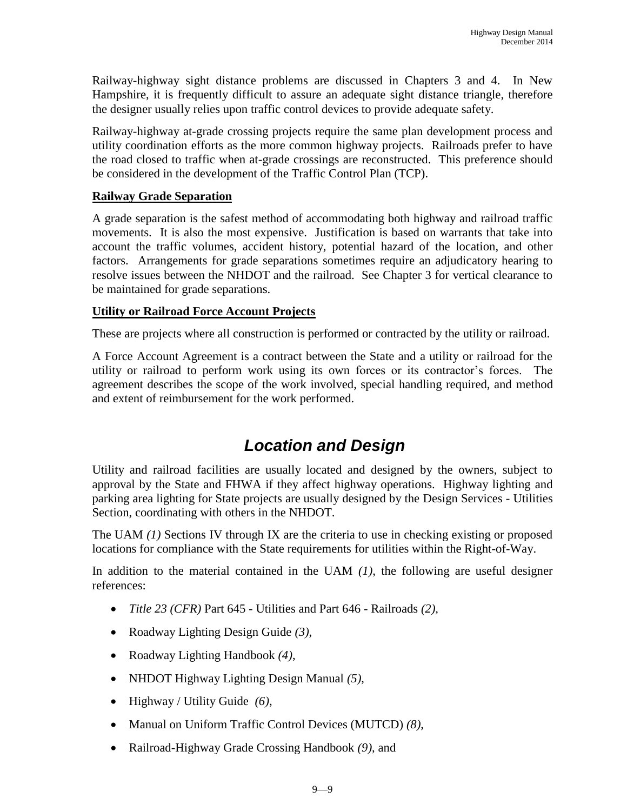Railway-highway sight distance problems are discussed in Chapters 3 and 4. In New Hampshire, it is frequently difficult to assure an adequate sight distance triangle, therefore the designer usually relies upon traffic control devices to provide adequate safety.

Railway-highway at-grade crossing projects require the same plan development process and utility coordination efforts as the more common highway projects. Railroads prefer to have the road closed to traffic when at-grade crossings are reconstructed. This preference should be considered in the development of the Traffic Control Plan (TCP).

#### **Railway Grade Separation**

A grade separation is the safest method of accommodating both highway and railroad traffic movements. It is also the most expensive. Justification is based on warrants that take into account the traffic volumes, accident history, potential hazard of the location, and other factors. Arrangements for grade separations sometimes require an adjudicatory hearing to resolve issues between the NHDOT and the railroad. See Chapter 3 for vertical clearance to be maintained for grade separations.

#### **Utility or Railroad Force Account Projects**

These are projects where all construction is performed or contracted by the utility or railroad.

A Force Account Agreement is a contract between the State and a utility or railroad for the utility or railroad to perform work using its own forces or its contractor's forces. The agreement describes the scope of the work involved, special handling required, and method and extent of reimbursement for the work performed.

### *Location and Design*

Utility and railroad facilities are usually located and designed by the owners, subject to approval by the State and FHWA if they affect highway operations. Highway lighting and parking area lighting for State projects are usually designed by the Design Services - Utilities Section, coordinating with others in the NHDOT.

The UAM *(1)* Sections IV through IX are the criteria to use in checking existing or proposed locations for compliance with the State requirements for utilities within the Right-of-Way.

In addition to the material contained in the UAM *(1)*, the following are useful designer references:

- *Title 23 (CFR)* Part 645 Utilities and Part 646 Railroads *(2)*,
- Roadway Lighting Design Guide *(3)*,
- Roadway Lighting Handbook *(4)*,
- NHDOT Highway Lighting Design Manual *(5)*,
- Highway / Utility Guide *(6)*,
- Manual on Uniform Traffic Control Devices (MUTCD) *(8)*,
- Railroad-Highway Grade Crossing Handbook *(9)*, and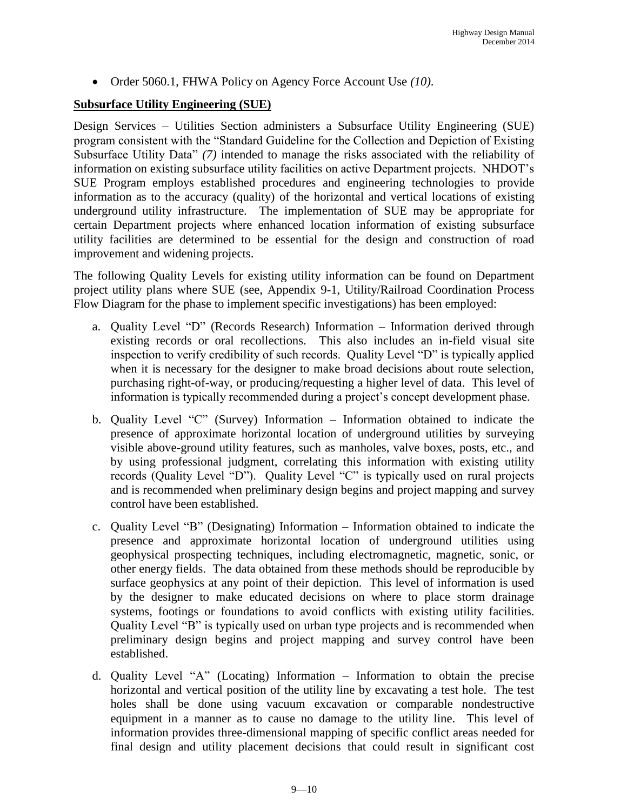Order 5060.1, FHWA Policy on Agency Force Account Use *(10)*.

#### **Subsurface Utility Engineering (SUE)**

Design Services – Utilities Section administers a Subsurface Utility Engineering (SUE) program consistent with the "Standard Guideline for the Collection and Depiction of Existing Subsurface Utility Data" *(7)* intended to manage the risks associated with the reliability of information on existing subsurface utility facilities on active Department projects. NHDOT's SUE Program employs established procedures and engineering technologies to provide information as to the accuracy (quality) of the horizontal and vertical locations of existing underground utility infrastructure. The implementation of SUE may be appropriate for certain Department projects where enhanced location information of existing subsurface utility facilities are determined to be essential for the design and construction of road improvement and widening projects.

The following Quality Levels for existing utility information can be found on Department project utility plans where SUE (see, Appendix 9-1, Utility/Railroad Coordination Process Flow Diagram for the phase to implement specific investigations) has been employed:

- a. Quality Level "D" (Records Research) Information Information derived through existing records or oral recollections. This also includes an in-field visual site inspection to verify credibility of such records. Quality Level "D" is typically applied when it is necessary for the designer to make broad decisions about route selection, purchasing right-of-way, or producing/requesting a higher level of data. This level of information is typically recommended during a project's concept development phase.
- b. Quality Level "C" (Survey) Information Information obtained to indicate the presence of approximate horizontal location of underground utilities by surveying visible above-ground utility features, such as manholes, valve boxes, posts, etc., and by using professional judgment, correlating this information with existing utility records (Quality Level "D"). Quality Level "C" is typically used on rural projects and is recommended when preliminary design begins and project mapping and survey control have been established.
- c. Quality Level "B" (Designating) Information Information obtained to indicate the presence and approximate horizontal location of underground utilities using geophysical prospecting techniques, including electromagnetic, magnetic, sonic, or other energy fields. The data obtained from these methods should be reproducible by surface geophysics at any point of their depiction. This level of information is used by the designer to make educated decisions on where to place storm drainage systems, footings or foundations to avoid conflicts with existing utility facilities. Quality Level "B" is typically used on urban type projects and is recommended when preliminary design begins and project mapping and survey control have been established.
- d. Quality Level "A" (Locating) Information Information to obtain the precise horizontal and vertical position of the utility line by excavating a test hole. The test holes shall be done using vacuum excavation or comparable nondestructive equipment in a manner as to cause no damage to the utility line. This level of information provides three-dimensional mapping of specific conflict areas needed for final design and utility placement decisions that could result in significant cost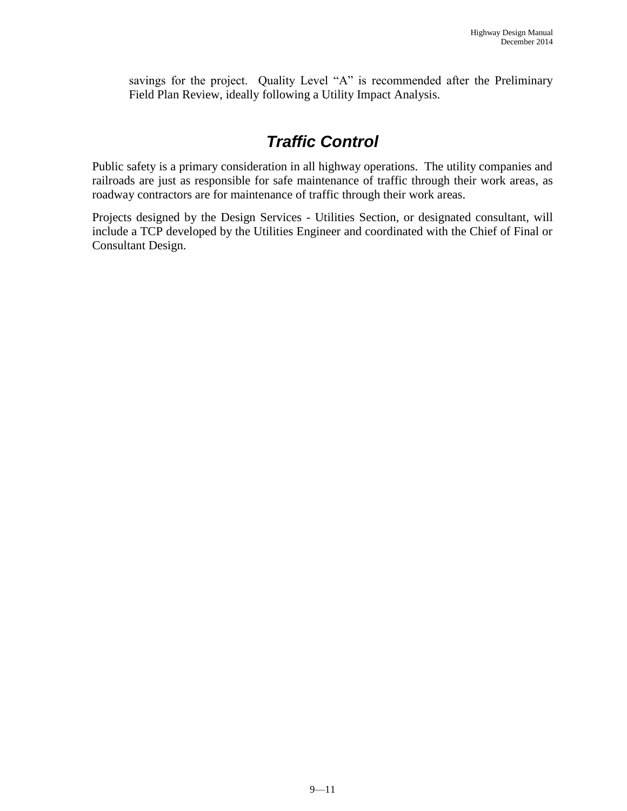savings for the project. Quality Level "A" is recommended after the Preliminary Field Plan Review, ideally following a Utility Impact Analysis.

### *Traffic Control*

Public safety is a primary consideration in all highway operations. The utility companies and railroads are just as responsible for safe maintenance of traffic through their work areas, as roadway contractors are for maintenance of traffic through their work areas.

Projects designed by the Design Services - Utilities Section, or designated consultant, will include a TCP developed by the Utilities Engineer and coordinated with the Chief of Final or Consultant Design.